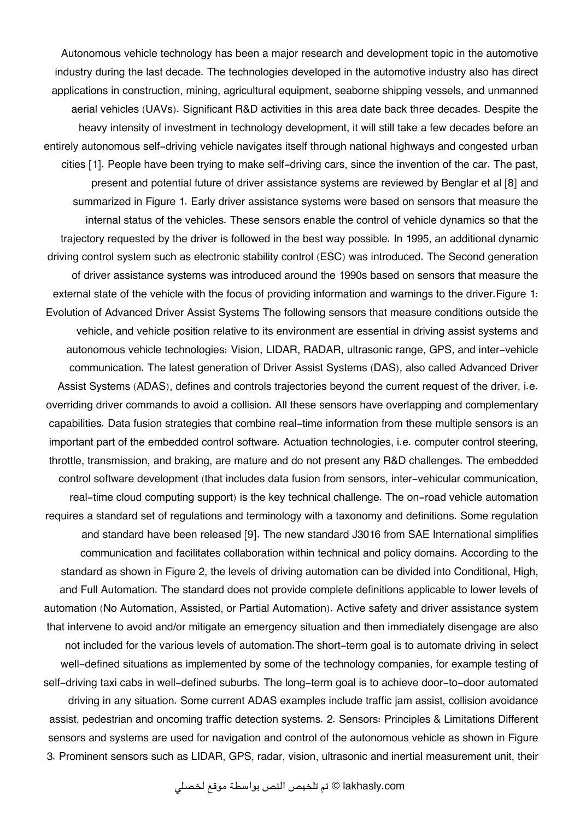Autonomous vehicle technology has been a major research and development topic in the automotive industry during the last decade. The technologies developed in the automotive industry also has direct applications in construction, mining, agricultural equipment, seaborne shipping vessels, and unmanned aerial vehicles (UAVs). Significant R&D activities in this area date back three decades. Despite the heavy intensity of investment in technology development, it will still take a few decades before an entirely autonomous self-driving vehicle navigates itself through national highways and congested urban cities [1]. People have been trying to make self-driving cars, since the invention of the car. The past, present and potential future of driver assistance systems are reviewed by Benglar et al [8] and summarized in Figure 1. Early driver assistance systems were based on sensors that measure the internal status of the vehicles. These sensors enable the control of vehicle dynamics so that the trajectory requested by the driver is followed in the best way possible. In 1995, an additional dynamic driving control system such as electronic stability control (ESC) was introduced. The Second generation of driver assistance systems was introduced around the 1990s based on sensors that measure the external state of the vehicle with the focus of providing information and warnings to the driver.Figure 1: Evolution of Advanced Driver Assist Systems The following sensors that measure conditions outside the vehicle, and vehicle position relative to its environment are essential in driving assist systems and autonomous vehicle technologies: Vision, LIDAR, RADAR, ultrasonic range, GPS, and inter-vehicle communication. The latest generation of Driver Assist Systems (DAS), also called Advanced Driver Assist Systems (ADAS), defines and controls trajectories beyond the current request of the driver, i.e. overriding driver commands to avoid a collision. All these sensors have overlapping and complementary capabilities. Data fusion strategies that combine real-time information from these multiple sensors is an important part of the embedded control software. Actuation technologies, i.e. computer control steering, throttle, transmission, and braking, are mature and do not present any R&D challenges. The embedded control software development (that includes data fusion from sensors, inter-vehicular communication, real-time cloud computing support) is the key technical challenge. The on-road vehicle automation requires a standard set of regulations and terminology with a taxonomy and definitions. Some regulation and standard have been released [9]. The new standard J3016 from SAE International simplifies communication and facilitates collaboration within technical and policy domains. According to the standard as shown in Figure 2, the levels of driving automation can be divided into Conditional, High, and Full Automation. The standard does not provide complete definitions applicable to lower levels of automation (No Automation, Assisted, or Partial Automation). Active safety and driver assistance system that intervene to avoid and/or mitigate an emergency situation and then immediately disengage are also not included for the various levels of automation.The short-term goal is to automate driving in select well-defined situations as implemented by some of the technology companies, for example testing of self-driving taxi cabs in well-defined suburbs. The long-term goal is to achieve door-to-door automated driving in any situation. Some current ADAS examples include traffic jam assist, collision avoidance assist, pedestrian and oncoming traffic detection systems. 2. Sensors: Principles & Limitations Different sensors and systems are used for navigation and control of the autonomous vehicle as shown in Figure 3. Prominent sensors such as LIDAR, GPS, radar, vision, ultrasonic and inertial measurement unit, their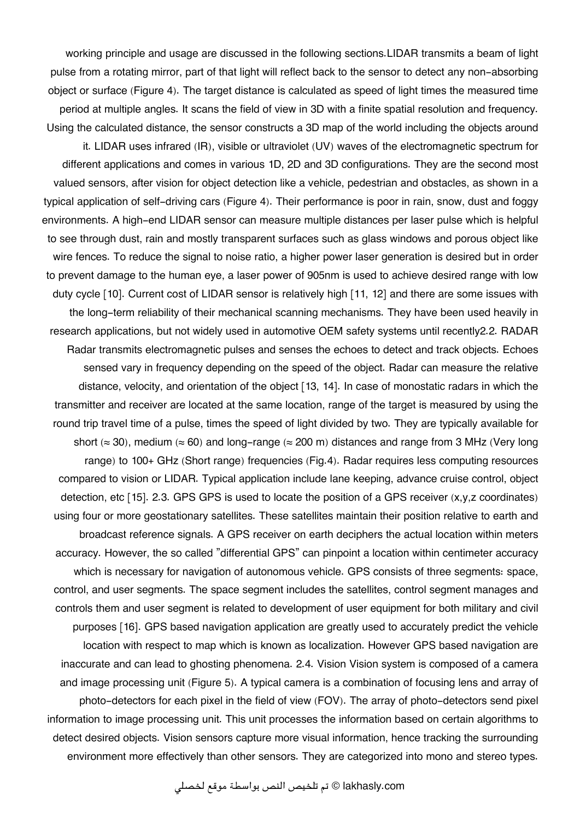working principle and usage are discussed in the following sections.LIDAR transmits a beam of light pulse from a rotating mirror, part of that light will reflect back to the sensor to detect any non-absorbing object or surface (Figure 4). The target distance is calculated as speed of light times the measured time period at multiple angles. It scans the field of view in 3D with a finite spatial resolution and frequency. Using the calculated distance, the sensor constructs a 3D map of the world including the objects around it. LIDAR uses infrared (IR), visible or ultraviolet (UV) waves of the electromagnetic spectrum for different applications and comes in various 1D, 2D and 3D configurations. They are the second most valued sensors, after vision for object detection like a vehicle, pedestrian and obstacles, as shown in a typical application of self-driving cars (Figure 4). Their performance is poor in rain, snow, dust and foggy environments. A high-end LIDAR sensor can measure multiple distances per laser pulse which is helpful to see through dust, rain and mostly transparent surfaces such as glass windows and porous object like wire fences. To reduce the signal to noise ratio, a higher power laser generation is desired but in order to prevent damage to the human eye, a laser power of 905nm is used to achieve desired range with low duty cycle [10]. Current cost of LIDAR sensor is relatively high [11, 12] and there are some issues with the long-term reliability of their mechanical scanning mechanisms. They have been used heavily in research applications, but not widely used in automotive OEM safety systems until recently2.2. RADAR Radar transmits electromagnetic pulses and senses the echoes to detect and track objects. Echoes sensed vary in frequency depending on the speed of the object. Radar can measure the relative distance, velocity, and orientation of the object [13, 14]. In case of monostatic radars in which the transmitter and receiver are located at the same location, range of the target is measured by using the round trip travel time of a pulse, times the speed of light divided by two. They are typically available for short ( $\approx$  30), medium ( $\approx$  60) and long-range ( $\approx$  200 m) distances and range from 3 MHz (Very long range) to 100+ GHz (Short range) frequencies (Fig.4). Radar requires less computing resources compared to vision or LIDAR. Typical application include lane keeping, advance cruise control, object detection, etc [15]. 2.3. GPS GPS is used to locate the position of a GPS receiver (x,y,z coordinates) using four or more geostationary satellites. These satellites maintain their position relative to earth and broadcast reference signals. A GPS receiver on earth deciphers the actual location within meters accuracy. However, the so called "differential GPS" can pinpoint a location within centimeter accuracy which is necessary for navigation of autonomous vehicle. GPS consists of three segments: space, control, and user segments. The space segment includes the satellites, control segment manages and controls them and user segment is related to development of user equipment for both military and civil purposes [16]. GPS based navigation application are greatly used to accurately predict the vehicle location with respect to map which is known as localization. However GPS based navigation are inaccurate and can lead to ghosting phenomena. 2.4. Vision Vision system is composed of a camera and image processing unit (Figure 5). A typical camera is a combination of focusing lens and array of photo-detectors for each pixel in the field of view (FOV). The array of photo-detectors send pixel information to image processing unit. This unit processes the information based on certain algorithms to detect desired objects. Vision sensors capture more visual information, hence tracking the surrounding environment more effectively than other sensors. They are categorized into mono and stereo types.